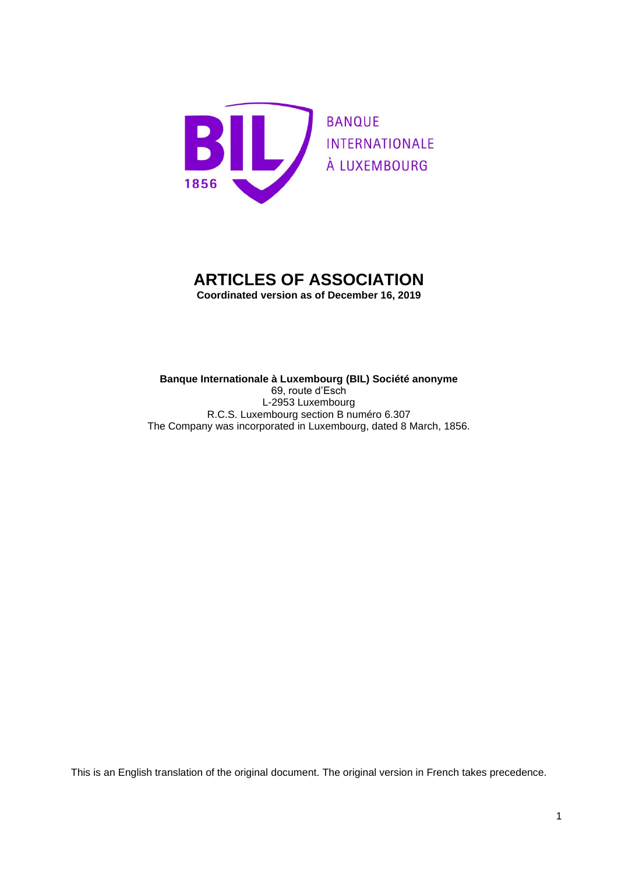

# **ARTICLES OF ASSOCIATION**

**Coordinated version as of December 16, 2019**

**Banque Internationale à Luxembourg (BIL) Société anonyme** 69, route d'Esch L-2953 Luxembourg R.C.S. Luxembourg section B numéro 6.307 The Company was incorporated in Luxembourg, dated 8 March, 1856.

This is an English translation of the original document. The original version in French takes precedence.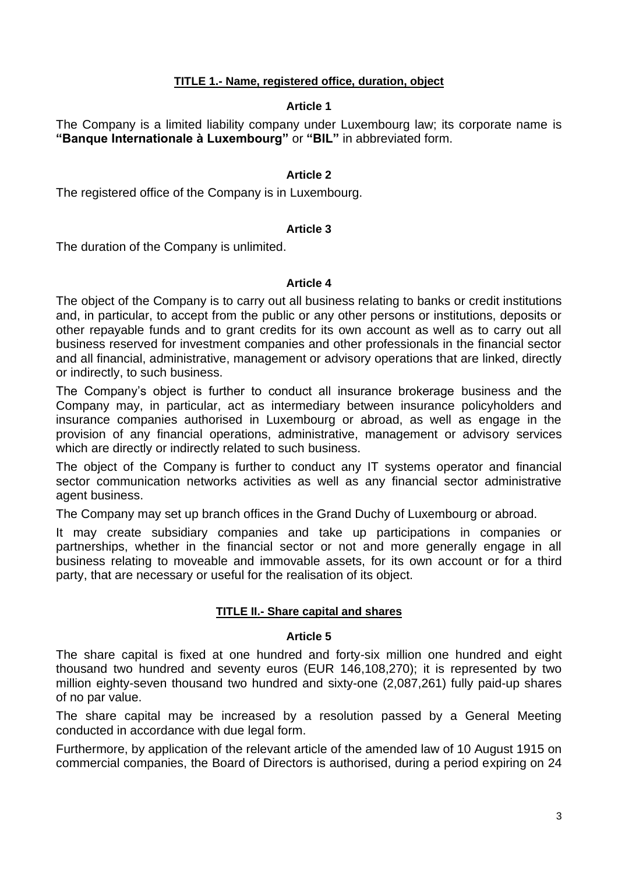# **TITLE 1.- Name, registered office, duration, object**

# **Article 1**

<span id="page-2-1"></span><span id="page-2-0"></span>The Company is a limited liability company under Luxembourg law; its corporate name is **"Banque Internationale à Luxembourg"** or **"BIL"** in abbreviated form.

# **Article 2**

<span id="page-2-2"></span>The registered office of the Company is in Luxembourg.

# **Article 3**

<span id="page-2-3"></span>The duration of the Company is unlimited.

# **Article 4**

<span id="page-2-4"></span>The object of the Company is to carry out all business relating to banks or credit institutions and, in particular, to accept from the public or any other persons or institutions, deposits or other repayable funds and to grant credits for its own account as well as to carry out all business reserved for investment companies and other professionals in the financial sector and all financial, administrative, management or advisory operations that are linked, directly or indirectly, to such business.

The Company's object is further to conduct all insurance brokerage business and the Company may, in particular, act as intermediary between insurance policyholders and insurance companies authorised in Luxembourg or abroad, as well as engage in the provision of any financial operations, administrative, management or advisory services which are directly or indirectly related to such business.

The object of the Company is further to conduct any IT systems operator and financial sector communication networks activities as well as any financial sector administrative agent business.

The Company may set up branch offices in the Grand Duchy of Luxembourg or abroad.

It may create subsidiary companies and take up participations in companies or partnerships, whether in the financial sector or not and more generally engage in all business relating to moveable and immovable assets, for its own account or for a third party, that are necessary or useful for the realisation of its object.

# **TITLE II.- Share capital and shares**

# **Article 5**

<span id="page-2-6"></span><span id="page-2-5"></span>The share capital is fixed at one hundred and forty-six million one hundred and eight thousand two hundred and seventy euros (EUR 146,108,270); it is represented by two million eighty-seven thousand two hundred and sixty-one (2,087,261) fully paid-up shares of no par value.

The share capital may be increased by a resolution passed by a General Meeting conducted in accordance with due legal form.

Furthermore, by application of the relevant article of the amended law of 10 August 1915 on commercial companies, the Board of Directors is authorised, during a period expiring on 24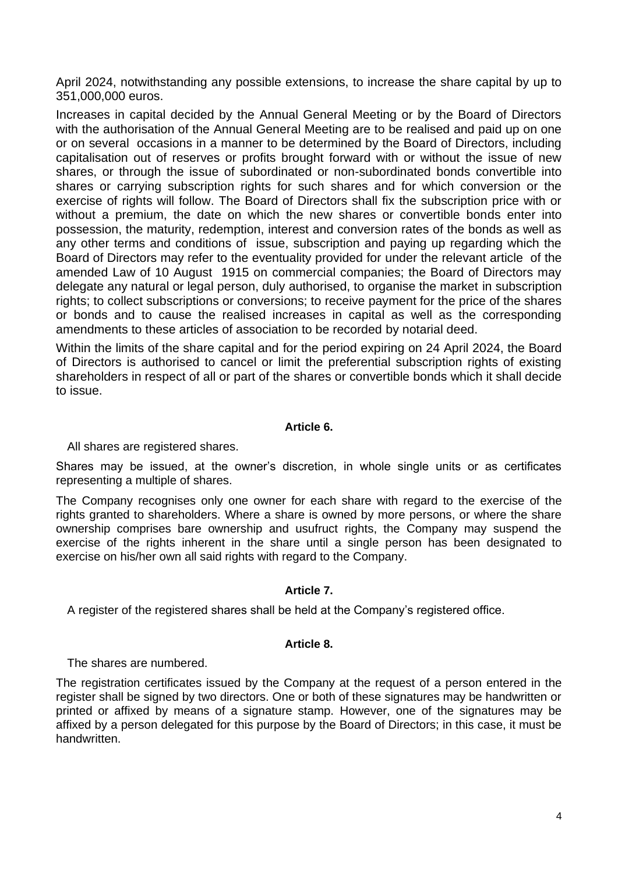April 2024, notwithstanding any possible extensions, to increase the share capital by up to 351,000,000 euros.

Increases in capital decided by the Annual General Meeting or by the Board of Directors with the authorisation of the Annual General Meeting are to be realised and paid up on one or on several occasions in a manner to be determined by the Board of Directors, including capitalisation out of reserves or profits brought forward with or without the issue of new shares, or through the issue of subordinated or non-subordinated bonds convertible into shares or carrying subscription rights for such shares and for which conversion or the exercise of rights will follow. The Board of Directors shall fix the subscription price with or without a premium, the date on which the new shares or convertible bonds enter into possession, the maturity, redemption, interest and conversion rates of the bonds as well as any other terms and conditions of issue, subscription and paying up regarding which the Board of Directors may refer to the eventuality provided for under the relevant article of the amended Law of 10 August 1915 on commercial companies; the Board of Directors may delegate any natural or legal person, duly authorised, to organise the market in subscription rights; to collect subscriptions or conversions; to receive payment for the price of the shares or bonds and to cause the realised increases in capital as well as the corresponding amendments to these articles of association to be recorded by notarial deed.

Within the limits of the share capital and for the period expiring on 24 April 2024, the Board of Directors is authorised to cancel or limit the preferential subscription rights of existing shareholders in respect of all or part of the shares or convertible bonds which it shall decide to issue.

# **Article 6.**

<span id="page-3-0"></span>All shares are registered shares.

Shares may be issued, at the owner's discretion, in whole single units or as certificates representing a multiple of shares.

The Company recognises only one owner for each share with regard to the exercise of the rights granted to shareholders. Where a share is owned by more persons, or where the share ownership comprises bare ownership and usufruct rights, the Company may suspend the exercise of the rights inherent in the share until a single person has been designated to exercise on his/her own all said rights with regard to the Company.

# **Article 7.**

<span id="page-3-1"></span>A register of the registered shares shall be held at the Company's registered office.

# **Article 8.**

<span id="page-3-2"></span>The shares are numbered.

The registration certificates issued by the Company at the request of a person entered in the register shall be signed by two directors. One or both of these signatures may be handwritten or printed or affixed by means of a signature stamp. However, one of the signatures may be affixed by a person delegated for this purpose by the Board of Directors; in this case, it must be handwritten.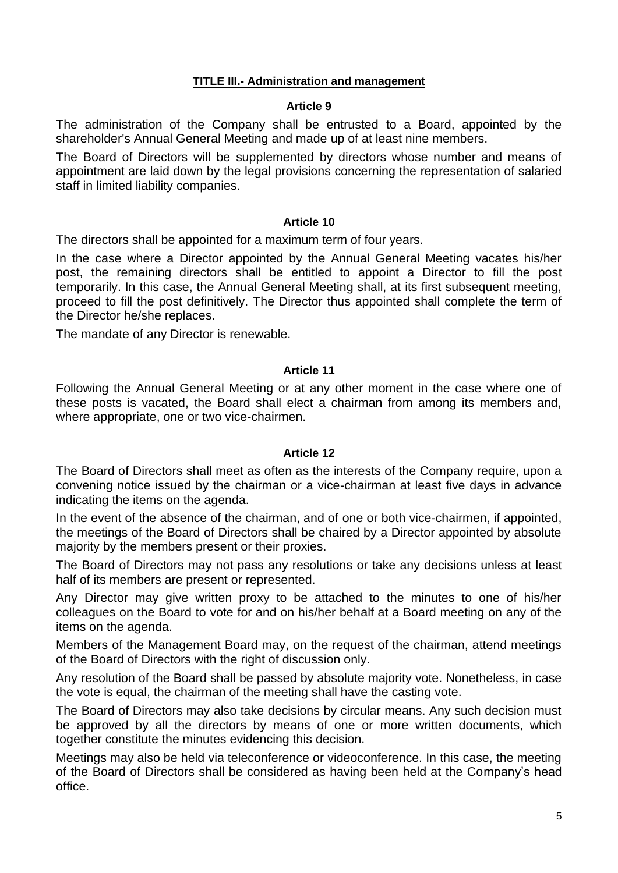# **TITLE III.- Administration and management**

# **Article 9**

<span id="page-4-1"></span><span id="page-4-0"></span>The administration of the Company shall be entrusted to a Board, appointed by the shareholder's Annual General Meeting and made up of at least nine members.

The Board of Directors will be supplemented by directors whose number and means of appointment are laid down by the legal provisions concerning the representation of salaried staff in limited liability companies.

# **Article 10**

<span id="page-4-2"></span>The directors shall be appointed for a maximum term of four years.

In the case where a Director appointed by the Annual General Meeting vacates his/her post, the remaining directors shall be entitled to appoint a Director to fill the post temporarily. In this case, the Annual General Meeting shall, at its first subsequent meeting, proceed to fill the post definitively. The Director thus appointed shall complete the term of the Director he/she replaces.

The mandate of any Director is renewable.

# **Article 11**

<span id="page-4-3"></span>Following the Annual General Meeting or at any other moment in the case where one of these posts is vacated, the Board shall elect a chairman from among its members and, where appropriate, one or two vice-chairmen.

# **Article 12**

<span id="page-4-4"></span>The Board of Directors shall meet as often as the interests of the Company require, upon a convening notice issued by the chairman or a vice-chairman at least five days in advance indicating the items on the agenda.

In the event of the absence of the chairman, and of one or both vice-chairmen, if appointed, the meetings of the Board of Directors shall be chaired by a Director appointed by absolute majority by the members present or their proxies.

The Board of Directors may not pass any resolutions or take any decisions unless at least half of its members are present or represented.

Any Director may give written proxy to be attached to the minutes to one of his/her colleagues on the Board to vote for and on his/her behalf at a Board meeting on any of the items on the agenda.

Members of the Management Board may, on the request of the chairman, attend meetings of the Board of Directors with the right of discussion only.

Any resolution of the Board shall be passed by absolute majority vote. Nonetheless, in case the vote is equal, the chairman of the meeting shall have the casting vote.

The Board of Directors may also take decisions by circular means. Any such decision must be approved by all the directors by means of one or more written documents, which together constitute the minutes evidencing this decision.

Meetings may also be held via teleconference or videoconference. In this case, the meeting of the Board of Directors shall be considered as having been held at the Company's head office.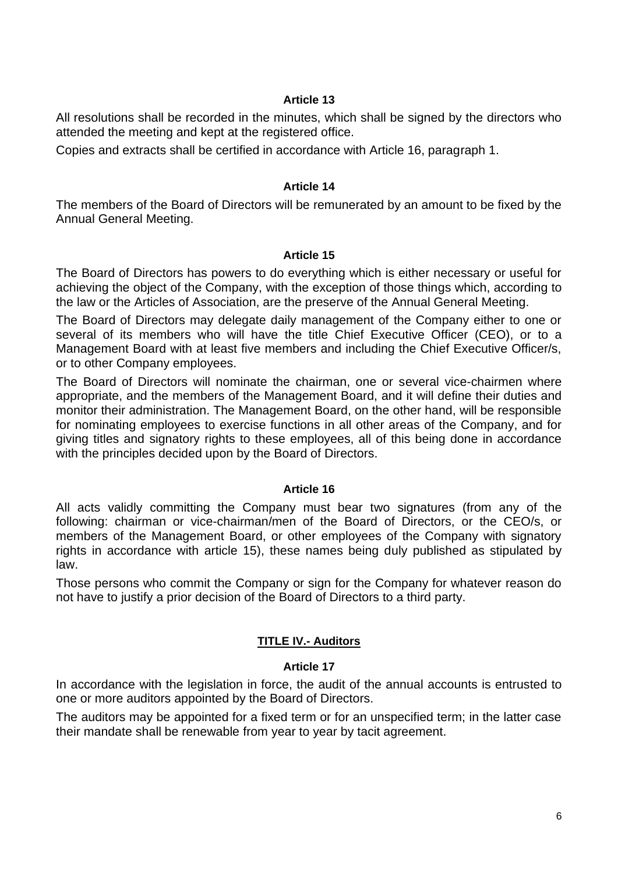# **Article 13**

<span id="page-5-0"></span>All resolutions shall be recorded in the minutes, which shall be signed by the directors who attended the meeting and kept at the registered office.

Copies and extracts shall be certified in accordance with Article 16, paragraph 1.

# **Article 14**

<span id="page-5-1"></span>The members of the Board of Directors will be remunerated by an amount to be fixed by the Annual General Meeting.

# **Article 15**

<span id="page-5-2"></span>The Board of Directors has powers to do everything which is either necessary or useful for achieving the object of the Company, with the exception of those things which, according to the law or the Articles of Association, are the preserve of the Annual General Meeting.

The Board of Directors may delegate daily management of the Company either to one or several of its members who will have the title Chief Executive Officer (CEO), or to a Management Board with at least five members and including the Chief Executive Officer/s, or to other Company employees.

The Board of Directors will nominate the chairman, one or several vice-chairmen where appropriate, and the members of the Management Board, and it will define their duties and monitor their administration. The Management Board, on the other hand, will be responsible for nominating employees to exercise functions in all other areas of the Company, and for giving titles and signatory rights to these employees, all of this being done in accordance with the principles decided upon by the Board of Directors.

# **Article 16**

<span id="page-5-3"></span>All acts validly committing the Company must bear two signatures (from any of the following: chairman or vice-chairman/men of the Board of Directors, or the CEO/s, or members of the Management Board, or other employees of the Company with signatory rights in accordance with article 15), these names being duly published as stipulated by law.

Those persons who commit the Company or sign for the Company for whatever reason do not have to justify a prior decision of the Board of Directors to a third party.

# **TITLE IV.- Auditors**

# **Article 17**

<span id="page-5-5"></span><span id="page-5-4"></span>In accordance with the legislation in force, the audit of the annual accounts is entrusted to one or more auditors appointed by the Board of Directors.

The auditors may be appointed for a fixed term or for an unspecified term; in the latter case their mandate shall be renewable from year to year by tacit agreement.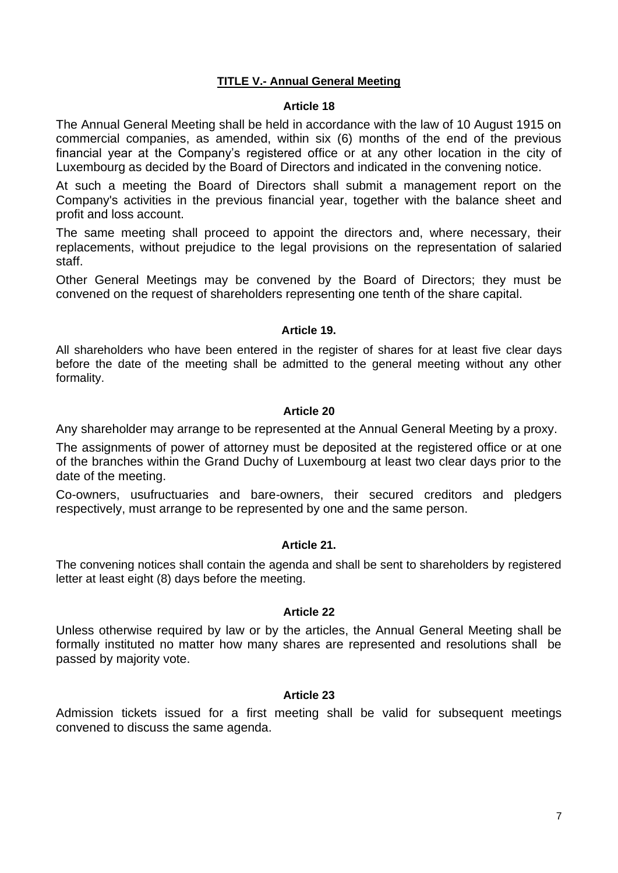# **TITLE V.- Annual General Meeting**

#### **Article 18**

<span id="page-6-1"></span><span id="page-6-0"></span>The Annual General Meeting shall be held in accordance with the law of 10 August 1915 on commercial companies, as amended, within six (6) months of the end of the previous financial year at the Company's registered office or at any other location in the city of Luxembourg as decided by the Board of Directors and indicated in the convening notice.

At such a meeting the Board of Directors shall submit a management report on the Company's activities in the previous financial year, together with the balance sheet and profit and loss account.

The same meeting shall proceed to appoint the directors and, where necessary, their replacements, without prejudice to the legal provisions on the representation of salaried staff.

Other General Meetings may be convened by the Board of Directors; they must be convened on the request of shareholders representing one tenth of the share capital.

# **Article 19.**

<span id="page-6-2"></span>All shareholders who have been entered in the register of shares for at least five clear days before the date of the meeting shall be admitted to the general meeting without any other formality.

#### **Article 20**

<span id="page-6-3"></span>Any shareholder may arrange to be represented at the Annual General Meeting by a proxy.

The assignments of power of attorney must be deposited at the registered office or at one of the branches within the Grand Duchy of Luxembourg at least two clear days prior to the date of the meeting.

Co-owners, usufructuaries and bare-owners, their secured creditors and pledgers respectively, must arrange to be represented by one and the same person.

# **Article 21.**

<span id="page-6-4"></span>The convening notices shall contain the agenda and shall be sent to shareholders by registered letter at least eight (8) days before the meeting.

# **Article 22**

<span id="page-6-5"></span>Unless otherwise required by law or by the articles, the Annual General Meeting shall be formally instituted no matter how many shares are represented and resolutions shall be passed by majority vote.

# **Article 23**

<span id="page-6-6"></span>Admission tickets issued for a first meeting shall be valid for subsequent meetings convened to discuss the same agenda.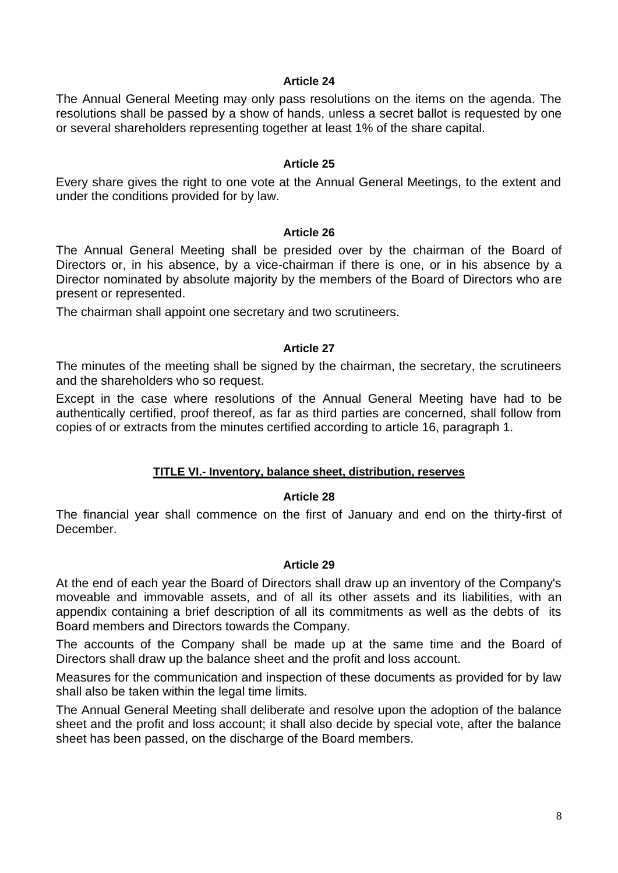## **Article 24**

<span id="page-7-0"></span>The Annual General Meeting may only pass resolutions on the items on the agenda. The resolutions shall be passed by a show of hands, unless a secret ballot is requested by one or several shareholders representing together at least 1% of the share capital.

## **Article 25**

<span id="page-7-1"></span>Every share gives the right to one vote at the Annual General Meetings, to the extent and under the conditions provided for by law.

#### **Article 26**

<span id="page-7-2"></span>The Annual General Meeting shall be presided over by the chairman of the Board of Directors or, in his absence, by a vice-chairman if there is one, or in his absence by a Director nominated by absolute majority by the members of the Board of Directors who are present or represented.

The chairman shall appoint one secretary and two scrutineers.

# **Article 27**

<span id="page-7-3"></span>The minutes of the meeting shall be signed by the chairman, the secretary, the scrutineers and the shareholders who so request.

Except in the case where resolutions of the Annual General Meeting have had to be authentically certified, proof thereof, as far as third parties are concerned, shall follow from copies of or extracts from the minutes certified according to article 16, paragraph 1.

# **TITLE VI.- Inventory, balance sheet, distribution, reserves**

# **Article 28**

<span id="page-7-5"></span><span id="page-7-4"></span>The financial year shall commence on the first of January and end on the thirty-first of December.

# **Article 29**

<span id="page-7-6"></span>At the end of each year the Board of Directors shall draw up an inventory of the Company's moveable and immovable assets, and of all its other assets and its liabilities, with an appendix containing a brief description of all its commitments as well as the debts of its Board members and Directors towards the Company.

The accounts of the Company shall be made up at the same time and the Board of Directors shall draw up the balance sheet and the profit and loss account.

Measures for the communication and inspection of these documents as provided for by law shall also be taken within the legal time limits.

The Annual General Meeting shall deliberate and resolve upon the adoption of the balance sheet and the profit and loss account; it shall also decide by special vote, after the balance sheet has been passed, on the discharge of the Board members.